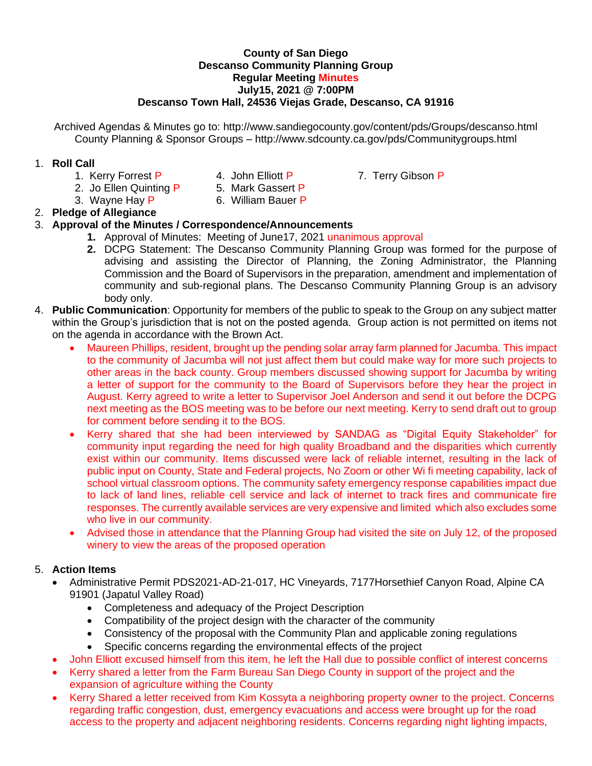#### **County of San Diego Descanso Community Planning Group Regular Meeting Minutes July15, 2021 @ 7:00PM Descanso Town Hall, 24536 Viejas Grade, Descanso, CA 91916**

Archived Agendas & Minutes go to: http://www.sandiegocounty.gov/content/pds/Groups/descanso.html County Planning & Sponsor Groups – http://www.sdcounty.ca.gov/pds/Communitygroups.html

### 1. **Roll Call**

- 1. Kerry Forrest P 4. John Elliott P 7. Terry Gibson P
	-
- 
- 2. Jo Ellen Quinting P 5. Mark Gassert P
- 3. Wayne Hay P 6. William Bauer P

# 2. **Pledge of Allegiance**

## 3. **Approval of the Minutes / Correspondence/Announcements**

- **1.** Approval of Minutes: Meeting of June17, 2021 unanimous approval
- **2.** DCPG Statement: The Descanso Community Planning Group was formed for the purpose of advising and assisting the Director of Planning, the Zoning Administrator, the Planning Commission and the Board of Supervisors in the preparation, amendment and implementation of community and sub-regional plans. The Descanso Community Planning Group is an advisory body only.
- 4. **Public Communication**: Opportunity for members of the public to speak to the Group on any subject matter within the Group's jurisdiction that is not on the posted agenda. Group action is not permitted on items not on the agenda in accordance with the Brown Act.
	- Maureen Phillips, resident, brought up the pending solar array farm planned for Jacumba. This impact to the community of Jacumba will not just affect them but could make way for more such projects to other areas in the back county. Group members discussed showing support for Jacumba by writing a letter of support for the community to the Board of Supervisors before they hear the project in August. Kerry agreed to write a letter to Supervisor Joel Anderson and send it out before the DCPG next meeting as the BOS meeting was to be before our next meeting. Kerry to send draft out to group for comment before sending it to the BOS.
	- Kerry shared that she had been interviewed by SANDAG as "Digital Equity Stakeholder" for community input regarding the need for high quality Broadband and the disparities which currently exist within our community. Items discussed were lack of reliable internet, resulting in the lack of public input on County, State and Federal projects, No Zoom or other Wi fi meeting capability, lack of school virtual classroom options. The community safety emergency response capabilities impact due to lack of land lines, reliable cell service and lack of internet to track fires and communicate fire responses. The currently available services are very expensive and limited which also excludes some who live in our community.
	- Advised those in attendance that the Planning Group had visited the site on July 12, of the proposed winery to view the areas of the proposed operation

## 5. **Action Items**

- Administrative Permit PDS2021-AD-21-017, HC Vineyards, 7177Horsethief Canyon Road, Alpine CA 91901 (Japatul Valley Road)
	- Completeness and adequacy of the Project Description
	- Compatibility of the project design with the character of the community
	- Consistency of the proposal with the Community Plan and applicable zoning regulations
	- Specific concerns regarding the environmental effects of the project
- John Elliott excused himself from this item, he left the Hall due to possible conflict of interest concerns
- Kerry shared a letter from the Farm Bureau San Diego County in support of the project and the expansion of agriculture withing the County
- Kerry Shared a letter received from Kim Kossyta a neighboring property owner to the project. Concerns regarding traffic congestion, dust, emergency evacuations and access were brought up for the road access to the property and adjacent neighboring residents. Concerns regarding night lighting impacts,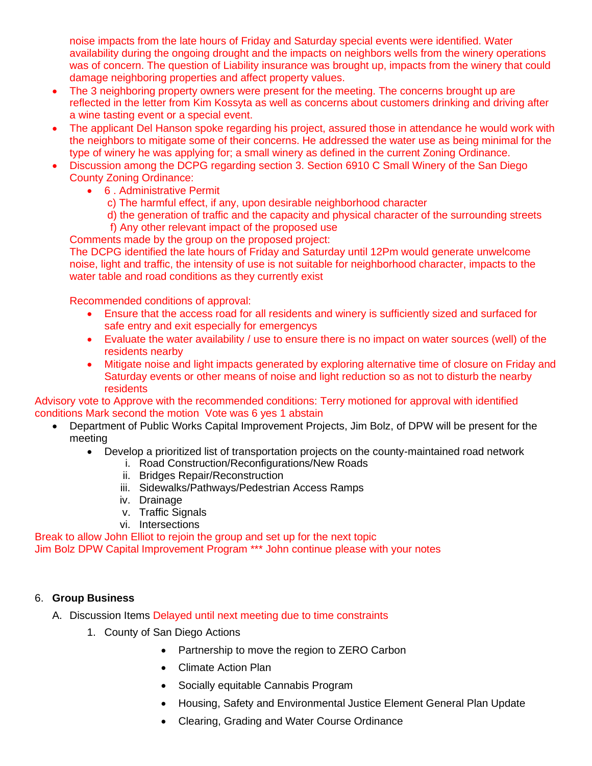noise impacts from the late hours of Friday and Saturday special events were identified. Water availability during the ongoing drought and the impacts on neighbors wells from the winery operations was of concern. The question of Liability insurance was brought up, impacts from the winery that could damage neighboring properties and affect property values.

- The 3 neighboring property owners were present for the meeting. The concerns brought up are reflected in the letter from Kim Kossyta as well as concerns about customers drinking and driving after a wine tasting event or a special event.
- The applicant Del Hanson spoke regarding his project, assured those in attendance he would work with the neighbors to mitigate some of their concerns. He addressed the water use as being minimal for the type of winery he was applying for; a small winery as defined in the current Zoning Ordinance.
- Discussion among the DCPG regarding section 3. Section 6910 C Small Winery of the San Diego County Zoning Ordinance:
	- 6 . Administrative Permit
		- c) The harmful effect, if any, upon desirable neighborhood character
		- d) the generation of traffic and the capacity and physical character of the surrounding streets f) Any other relevant impact of the proposed use
	- Comments made by the group on the proposed project:

The DCPG identified the late hours of Friday and Saturday until 12Pm would generate unwelcome noise, light and traffic, the intensity of use is not suitable for neighborhood character, impacts to the water table and road conditions as they currently exist

Recommended conditions of approval:

- Ensure that the access road for all residents and winery is sufficiently sized and surfaced for safe entry and exit especially for emergencys
- Evaluate the water availability / use to ensure there is no impact on water sources (well) of the residents nearby
- Mitigate noise and light impacts generated by exploring alternative time of closure on Friday and Saturday events or other means of noise and light reduction so as not to disturb the nearby residents

Advisory vote to Approve with the recommended conditions: Terry motioned for approval with identified conditions Mark second the motion Vote was 6 yes 1 abstain

- Department of Public Works Capital Improvement Projects, Jim Bolz, of DPW will be present for the meeting
	- Develop a prioritized list of transportation projects on the county-maintained road network
		- i. Road Construction/Reconfigurations/New Roads
		- ii. Bridges Repair/Reconstruction
		- iii. Sidewalks/Pathways/Pedestrian Access Ramps
		- iv. Drainage
		- v. Traffic Signals
		- vi. Intersections

Break to allow John Elliot to rejoin the group and set up for the next topic Jim Bolz DPW Capital Improvement Program \*\*\* John continue please with your notes

### 6. **Group Business**

- A. Discussion Items Delayed until next meeting due to time constraints
	- 1. County of San Diego Actions
		- Partnership to move the region to ZERO Carbon
		- Climate Action Plan
		- Socially equitable Cannabis Program
		- Housing, Safety and Environmental Justice Element General Plan Update
		- Clearing, Grading and Water Course Ordinance